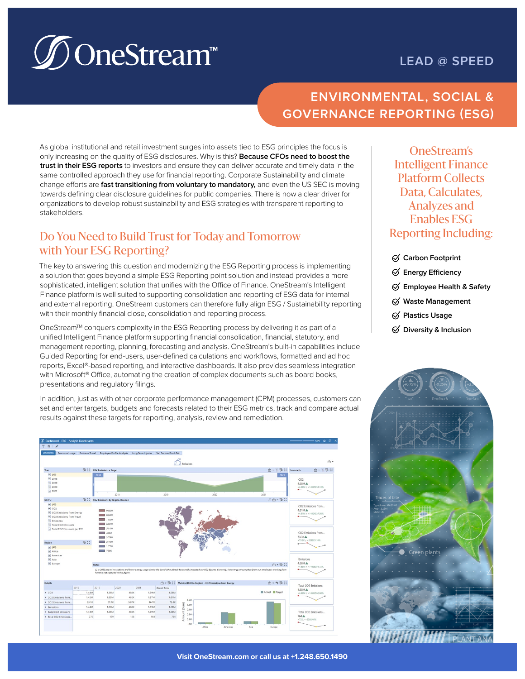# **<u></u> SoneStream**™

# **LEAD @ SPEED**

# **ENVIRONMENTAL, SOCIAL & GOVERNANCE REPORTING (ESG)**

As global institutional and retail investment surges into assets tied to ESG principles the focus is only increasing on the quality of ESG disclosures. Why is this? **Because CFOs need to boost the trust in their ESG reports** to investors and ensure they can deliver accurate and timely data in the same controlled approach they use for financial reporting. Corporate Sustainability and climate change efforts are **fast transitioning from voluntary to mandatory,** and even the US SEC is moving towards defining clear disclosure guidelines for public companies. There is now a clear driver for organizations to develop robust sustainability and ESG strategies with transparent reporting to stakeholders.

### Do You Need to Build Trust for Today and Tomorrow with Your ESG Reporting?

The key to answering this question and modernizing the ESG Reporting process is implementing a solution that goes beyond a simple ESG Reporting point solution and instead provides a more sophisticated, intelligent solution that unifies with the Office of Finance. OneStream's Intelligent Finance platform is well suited to supporting consolidation and reporting of ESG data for internal and external reporting. OneStream customers can therefore fully align ESG / Sustainability reporting with their monthly financial close, consolidation and reporting process.

OneStream<sup>™</sup> conquers complexity in the ESG Reporting process by delivering it as part of a unified Intelligent Finance platform supporting financial consolidation, financial, statutory, and management reporting, planning, forecasting and analysis. OneStream's built-in capabilities include Guided Reporting for end-users, user-defined calculations and workflows, formatted and ad hoc reports, Excel®-based reporting, and interactive dashboards. It also provides seamless integration with Microsoft<sup>®</sup> Office, automating the creation of complex documents such as board books, presentations and regulatory filings.

In addition, just as with other corporate performance management (CPM) processes, customers can set and enter targets, budgets and forecasts related to their ESG metrics, track and compare actual results against these targets for reporting, analysis, review and remediation.



OneStream's Intelligent Finance Platform Collects Data, Calculates, Analyzes and Enables ESG Reporting Including:

- **Carbon Footprint**
- **Energy Efficiency**
- **Employee Health & Safety**
- **Waste Management**
- **Plastics Usage**
- **Diversity & Inclusion**